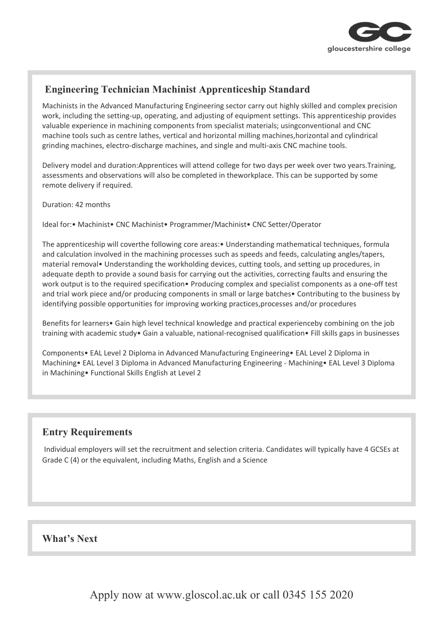

## **Engineering Technician Machinist Apprenticeship Standard**

Machinists in the Advanced Manufacturing Engineering sector carry out highly skilled and complex precision work, including the setting-up, operating, and adjusting of equipment settings. This apprenticeship provides valuable experience in machining components from specialist materials; usingconventional and CNC machine tools such as centre lathes, vertical and horizontal milling machines,horizontal and cylindrical grinding machines, electro-discharge machines, and single and multi-axis CNC machine tools.

Delivery model and duration:Apprentices will attend college for two days per week over two years.Training, assessments and observations will also be completed in theworkplace. This can be supported by some remote delivery if required.

Duration: 42 months

Ideal for:• Machinist• CNC Machinist• Programmer/Machinist• CNC Setter/Operator

The apprenticeship will coverthe following core areas:• Understanding mathematical techniques, formula and calculation involved in the machining processes such as speeds and feeds, calculating angles/tapers, material removal• Understanding the workholding devices, cutting tools, and setting up procedures, in adequate depth to provide a sound basis for carrying out the activities, correcting faults and ensuring the work output is to the required specification• Producing complex and specialist components as a one-off test and trial work piece and/or producing components in small or large batches• Contributing to the business by identifying possible opportunities for improving working practices,processes and/or procedures

Benefits for learners• Gain high level technical knowledge and practical experienceby combining on the job training with academic study• Gain a valuable, national-recognised qualification• Fill skills gaps in businesses

Components• EAL Level 2 Diploma in Advanced Manufacturing Engineering• EAL Level 2 Diploma in Machining• EAL Level 3 Diploma in Advanced Manufacturing Engineering - Machining• EAL Level 3 Diploma in Machining• Functional Skills English at Level 2

### **Entry Requirements**

Individual employers will set the recruitment and selection criteria. Candidates will typically have 4 GCSEs at Grade C (4) or the equivalent, including Maths, English and a Science

#### **What's Next**

Apply now at www.gloscol.ac.uk or call 0345 155 2020